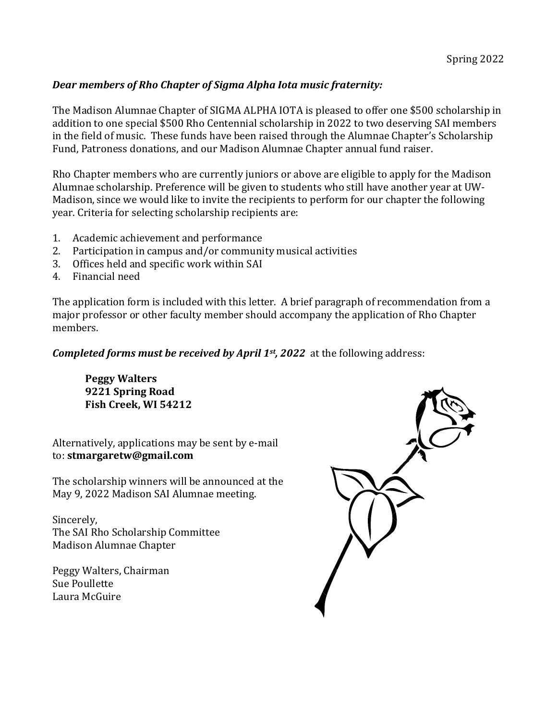## **Dear members of Rho Chapter of Sigma Alpha Iota music fraternity:**

The Madison Alumnae Chapter of SIGMA ALPHA IOTA is pleased to offer one \$500 scholarship in addition to one special \$500 Rho Centennial scholarship in 2022 to two deserving SAI members in the field of music. These funds have been raised through the Alumnae Chapter's Scholarship Fund, Patroness donations, and our Madison Alumnae Chapter annual fund raiser.

Rho Chapter members who are currently juniors or above are eligible to apply for the Madison Alumnae scholarship. Preference will be given to students who still have another year at UW-Madison, since we would like to invite the recipients to perform for our chapter the following year. Criteria for selecting scholarship recipients are:

- 1. Academic achievement and performance
- 2. Participation in campus and/or community musical activities
- 3. Offices held and specific work within SAI
- 4. Financial need

The application form is included with this letter. A brief paragraph of recommendation from a major professor or other faculty member should accompany the application of Rho Chapter members.

**Completed forms must be received by April 1st, 2022** at the following address:

**Peggy Walters 9221 Spring Road** Fish Creek, WI 54212

Alternatively, applications may be sent by e-mail to: **stmargaretw@gmail.com**

The scholarship winners will be announced at the May 9, 2022 Madison SAI Alumnae meeting.

Sincerely, The SAI Rho Scholarship Committee Madison Alumnae Chapter

Peggy Walters, Chairman Sue Poullette Laura McGuire